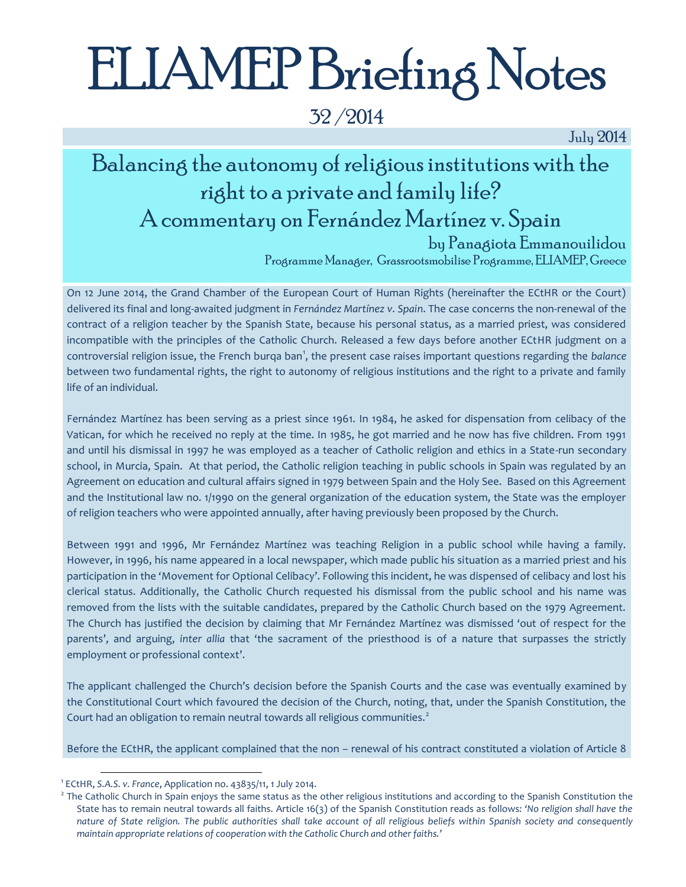# ELIAMEP Briefing Notes

32 /2014

July 2014

## Balancing the autonomy of religious institutions with the right to a private and family life? A commentary on Fernández Martínez v. Spain

by Panagiota Emmanouilidou

Programme Manager, Grassrootsmobilise Programme, ELIAMEP, Greece

On 12 June 2014, the Grand Chamber of the European Court of Human Rights (hereinafter the ECtHR or the Court) delivered its final and long-awaited judgment in *Fernández Martínez v. Spain*. The case concerns the non-renewal of the contract of a religion teacher by the Spanish State, because his personal status, as a married priest, was considered incompatible with the principles of the Catholic Church. Released a few days before another ECtHR judgment on a controversial religion issue, the French burqa ban<sup>1</sup>, the present case raises important questions regarding the *balance* between two fundamental rights, the right to autonomy of religious institutions and the right to a private and family life of an individual.

Fernández Martínez has been serving as a priest since 1961. In 1984, he asked for dispensation from celibacy of the Vatican, for which he received no reply at the time. In 1985, he got married and he now has five children. From 1991 and until his dismissal in 1997 he was employed as a teacher of Catholic religion and ethics in a State-run secondary school, in Murcia, Spain. At that period, the Catholic religion teaching in public schools in Spain was regulated by an Agreement on education and cultural affairs signed in 1979 between Spain and the Holy See. Based on this Agreement and the Institutional law no. 1/1990 on the general organization of the education system, the State was the employer of religion teachers who were appointed annually, after having previously been proposed by the Church.

Between 1991 and 1996, Mr Fernández Martínez was teaching Religion in a public school while having a family. However, in 1996, his name appeared in a local newspaper, which made public his situation as a married priest and his participation in the 'Movement for Optional Celibacy'. Following this incident, he was dispensed of celibacy and lost his clerical status. Additionally, the Catholic Church requested his dismissal from the public school and his name was removed from the lists with the suitable candidates, prepared by the Catholic Church based on the 1979 Agreement. The Church has justified the decision by claiming that Mr Fernández Martínez was dismissed 'out of respect for the parents', and arguing, *inter allia* that 'the sacrament of the priesthood is of a nature that surpasses the strictly employment or professional context'.

The applicant challenged the Church's decision before the Spanish Courts and the case was eventually examined by the Constitutional Court which favoured the decision of the Church, noting, that, under the Spanish Constitution, the Court had an obligation to remain neutral towards all religious communities.<sup>2</sup>

Before the ECtHR, the applicant complained that the non – renewal of his contract constituted a violation of Article 8

<sup>1</sup> ECtHR, *S.A.S. v. France*, Application no. 43835/11, 1 July 2014.

<sup>&</sup>lt;sup>2</sup> The Catholic Church in Spain enjoys the same status as the other religious institutions and according to the Spanish Constitution the State has to remain neutral towards all faiths. Article 16(3) of the Spanish Constitution reads as follows*: 'No religion shall have the nature of State religion. The public authorities shall take account of all religious beliefs within Spanish society and consequently maintain appropriate relations of cooperation with the Catholic Church and other faiths.'*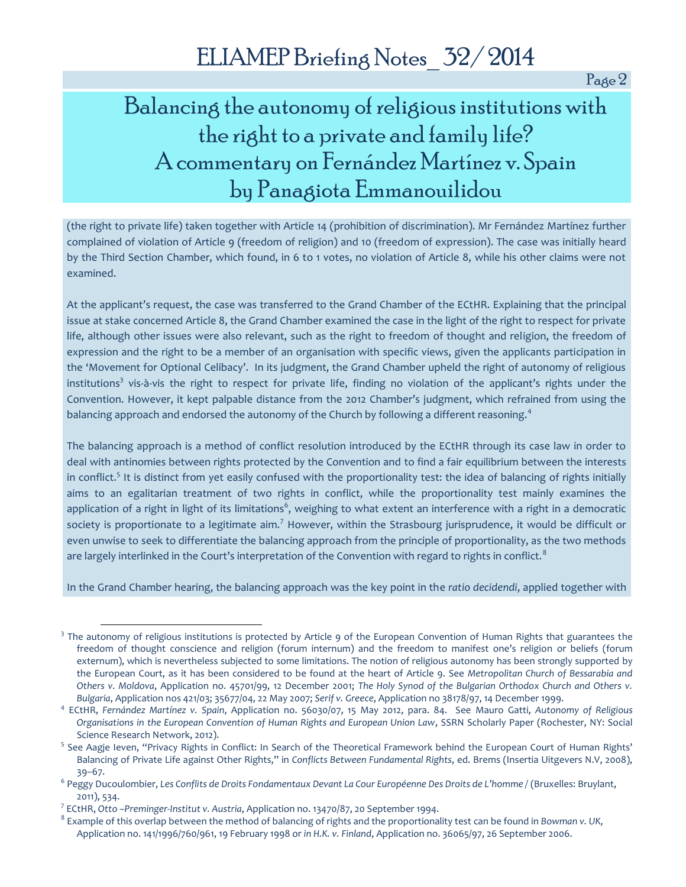Page 2

### Balancing the autonomy of religious institutions with the right to a private and family life? A commentary on Fernández Martínez v. Spain by Panagiota Emmanouilidou

(the right to private life) taken together with Article 14 (prohibition of discrimination). Mr Fernández Martínez further complained of violation of Article 9 (freedom of religion) and 10 (freedom of expression). The case was initially heard by the Third Section Chamber, which found, in 6 to 1 votes, no violation of Article 8, while his other claims were not examined.

At the applicant's request, the case was transferred to the Grand Chamber of the ECtHR. Explaining that the principal issue at stake concerned Article 8, the Grand Chamber examined the case in the light of the right to respect for private life, although other issues were also relevant, such as the right to freedom of thought and religion, the freedom of expression and the right to be a member of an organisation with specific views, given the applicants participation in the 'Movement for Optional Celibacy'. In its judgment, the Grand Chamber upheld the right of autonomy of religious institutions<sup>3</sup> vis-à-vis the right to respect for private life, finding no violation of the applicant's rights under the Convention. However, it kept palpable distance from the 2012 Chamber's judgment, which refrained from using the balancing approach and endorsed the autonomy of the Church by following a different reasoning.<sup>4</sup>

The balancing approach is a method of conflict resolution introduced by the ECtHR through its case law in order to deal with antinomies between rights protected by the Convention and to find a fair equilibrium between the interests in conflict.<sup>5</sup> It is distinct from yet easily confused with the proportionality test: the idea of balancing of rights initially aims to an egalitarian treatment of two rights in conflict, while the proportionality test mainly examines the application of a right in light of its limitations $^6$ , weighing to what extent an interference with a right in a democratic society is proportionate to a legitimate aim.<sup>7</sup> However, within the Strasbourg jurisprudence, it would be difficult or even unwise to seek to differentiate the balancing approach from the principle of proportionality, as the two methods are largely interlinked in the Court's interpretation of the Convention with regard to rights in conflict.<sup>8</sup>

In the Grand Chamber hearing, the balancing approach was the key point in the *ratio decidendi*, applied together with

<sup>&</sup>lt;sup>3</sup> The autonomy of religious institutions is protected by Article 9 of the European Convention of Human Rights that guarantees the freedom of thought conscience and religion (forum internum) and the freedom to manifest one's religion or beliefs (forum externum), which is nevertheless subjected to some limitations. The notion of religious autonomy has been strongly supported by the European Court, as it has been considered to be found at the heart of Article 9. See *Metropolitan Church of Bessarabia and Others v. Moldova*, Application no. 45701/99, 12 December 2001; *The Holy Synod of the Bulgarian Orthodox Church and Others v. Bulgaria*, Application nos 421/03; 35677/04, 22 May 2007; *Serif v. Greece*, Application no 38178/97, 14 December 1999.

<sup>4</sup> ECtHR, *Fernández Martínez v. Spain*, Application no. 56030/07, 15 May 2012, para. 84. See Mauro Gatti, *Autonomy of Religious Organisations in the European Convention of Human Rights and European Union Law*, SSRN Scholarly Paper (Rochester, NY: Social Science Research Network, 2012).

<sup>&</sup>lt;sup>5</sup> See Aagje Ieven, "Privacy Rights in Conflict: In Search of the Theoretical Framework behind the European Court of Human Rights' Balancing of Private Life against Other Rights," in *Conflicts Between Fundamental Rights*, ed. Brems (Insertia Uitgevers N.V, 2008), 39–67.

<sup>6</sup> Peggy Ducoulombier, *Les Conflits de Droits Fondamentaux Devant La Cour Européenne Des Droits de L'homme /* (Bruxelles: Bruylant, 2011), 534.

<sup>7</sup> ECtHR, *Otto –Preminger-Institut v. Austria*, Application no. 13470/87, 20 September 1994.

<sup>8</sup> Example of this overlap between the method of balancing of rights and the proportionality test can be found in *Bowman v. UK,* Application no. 141/1996/760/961, 19 February 1998 or *in H.K. v. Finland*, Application no. 36065/97, 26 September 2006.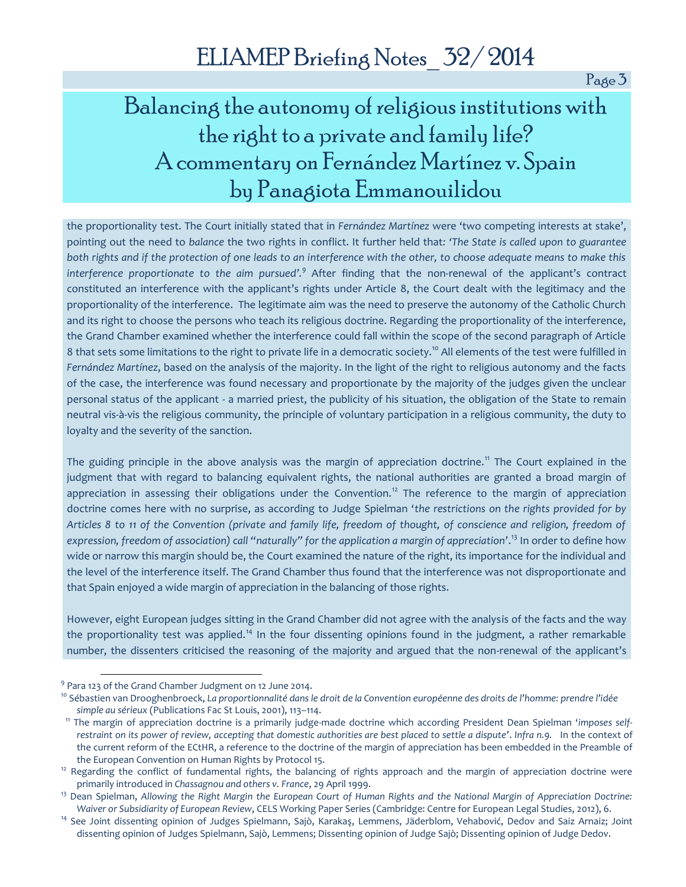Page 3

### Balancing the autonomy of religious institutions with the right to a private and family life? A commentary on Fernández Martínez v. Spain by Panagiota Emmanouilidou

the proportionality test. The Court initially stated that in *Fernández Martínez* were 'two competing interests at stake', pointing out the need to *balance* the two rights in conflict. It further held that*: 'The State is called upon to guarantee both rights and if the protection of one leads to an interference with the other, to choose adequate means to make this interference proportionate to the aim pursued'.<sup>9</sup>* After finding that the non-renewal of the applicant's contract constituted an interference with the applicant's rights under Article 8, the Court dealt with the legitimacy and the proportionality of the interference. The legitimate aim was the need to preserve the autonomy of the Catholic Church and its right to choose the persons who teach its religious doctrine. Regarding the proportionality of the interference, the Grand Chamber examined whether the interference could fall within the scope of the second paragraph of Article 8 that sets some limitations to the right to private life in a democratic society.<sup>10</sup> All elements of the test were fulfilled in *Fernández Martínez*, based on the analysis of the majority. In the light of the right to religious autonomy and the facts of the case, the interference was found necessary and proportionate by the majority of the judges given the unclear personal status of the applicant - a married priest, the publicity of his situation, the obligation of the State to remain neutral vis-à-vis the religious community, the principle of voluntary participation in a religious community, the duty to loyalty and the severity of the sanction.

The guiding principle in the above analysis was the margin of appreciation doctrine.<sup>11</sup> The Court explained in the judgment that with regard to balancing equivalent rights, the national authorities are granted a broad margin of appreciation in assessing their obligations under the Convention.<sup>12</sup> The reference to the margin of appreciation doctrine comes here with no surprise, as according to Judge Spielman '*the restrictions on the rights provided for by Articles 8 to 11 of the Convention (private and family life, freedom of thought, of conscience and religion, freedom of expression, freedom of association) call "naturally" for the application a margin of appreciation'*. <sup>13</sup> In order to define how wide or narrow this margin should be, the Court examined the nature of the right, its importance for the individual and the level of the interference itself. The Grand Chamber thus found that the interference was not disproportionate and that Spain enjoyed a wide margin of appreciation in the balancing of those rights.

However, eight European judges sitting in the Grand Chamber did not agree with the analysis of the facts and the way the proportionality test was applied.<sup>14</sup> In the four dissenting opinions found in the judgment, a rather remarkable number, the dissenters criticised the reasoning of the majority and argued that the non-renewal of the applicant's

<sup>&</sup>lt;sup>9</sup> Para 123 of the Grand Chamber Judgment on 12 June 2014.

<sup>10</sup> Sébastien van Drooghenbroeck, *La proportionnalité dans le droit de la Convention européenne des droits de l'homme: prendre l'idée simple au sérieux* (Publications Fac St Louis, 2001), 113–114.

<sup>11</sup> The margin of appreciation doctrine is a primarily judge-made doctrine which according President Dean Spielman '*imposes selfrestraint on its power of review, accepting that domestic authorities are best placed to settle a dispute'*. *Infra n.9.* In the context of the current reform of the ECtHR, a reference to the doctrine of the margin of appreciation has been embedded in the Preamble of the European Convention on Human Rights by Protocol 15.

<sup>&</sup>lt;sup>12</sup> Regarding the conflict of fundamental rights, the balancing of rights approach and the margin of appreciation doctrine were primarily introduced in *Chassagnou and others v. France*, 29 April 1999.

<sup>13</sup> Dean Spielman, *Allowing the Right Margin the European Court of Human Rights and the National Margin of Appreciation Doctrine: Waiver or Subsidiarity of European Review*, CELS Working Paper Series (Cambridge: Centre for European Legal Studies, 2012), 6.

<sup>&</sup>lt;sup>14</sup> See Joint dissenting opinion of Judges Spielmann, Sajò, Karakaş, Lemmens, Jäderblom, Vehabović, Dedov and Saiz Arnaiz; Joint dissenting opinion of Judges Spielmann, Sajò, Lemmens; Dissenting opinion of Judge Sajò; Dissenting opinion of Judge Dedov.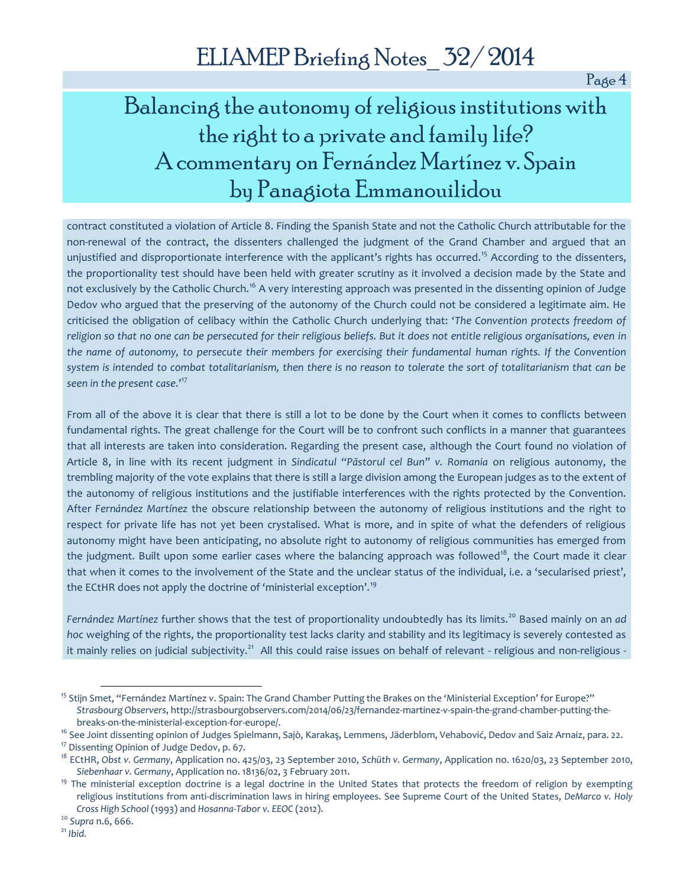Page 4

### Balancing the autonomy of religious institutions with the right to a private and family life? A commentary on Fernández Martínez v. Spain by Panagiota Emmanouilidou

contract constituted a violation of Article 8. Finding the Spanish State and not the Catholic Church attributable for the non-renewal of the contract, the dissenters challenged the judgment of the Grand Chamber and argued that an unjustified and disproportionate interference with the applicant's rights has occurred.<sup>15</sup> According to the dissenters, the proportionality test should have been held with greater scrutiny as it involved a decision made by the State and not exclusively by the Catholic Church.<sup>16</sup> A very interesting approach was presented in the dissenting opinion of Judge Dedov who argued that the preserving of the autonomy of the Church could not be considered a legitimate aim. He criticised the obligation of celibacy within the Catholic Church underlying that: '*The Convention protects freedom of religion so that no one can be persecuted for their religious beliefs. But it does not entitle religious organisations, even in the name of autonomy, to persecute their members for exercising their fundamental human rights. If the Convention system is intended to combat totalitarianism, then there is no reason to tolerate the sort of totalitarianism that can be seen in the present case*.'<sup>17</sup>

From all of the above it is clear that there is still a lot to be done by the Court when it comes to conflicts between fundamental rights. The great challenge for the Court will be to confront such conflicts in a manner that guarantees that all interests are taken into consideration. Regarding the present case, although the Court found no violation of Article 8, in line with its recent judgment in *Sindicatul "Păstorul cel Bun" v. Romania* on religious autonomy, the trembling majority of the vote explains that there is still a large division among the European judges as to the extent of the autonomy of religious institutions and the justifiable interferences with the rights protected by the Convention. After *Fernández Martínez* the obscure relationship between the autonomy of religious institutions and the right to respect for private life has not yet been crystalised. What is more, and in spite of what the defenders of religious autonomy might have been anticipating, no absolute right to autonomy of religious communities has emerged from the judgment. Built upon some earlier cases where the balancing approach was followed<sup>18</sup>, the Court made it clear that when it comes to the involvement of the State and the unclear status of the individual, i.e. a 'secularised priest', the ECtHR does not apply the doctrine of 'ministerial exception'.<sup>19</sup>

Fernández Martínez further shows that the test of proportionality undoubtedly has its limits.<sup>20</sup> Based mainly on an ad *hoc* weighing of the rights, the proportionality test lacks clarity and stability and its legitimacy is severely contested as it mainly relies on judicial subjectivity.<sup>21</sup> All this could raise issues on behalf of relevant - religious and non-religious -

<sup>&</sup>lt;sup>15</sup> Stijn Smet, "Fernández Martínez v. Spain: The Grand Chamber Putting the Brakes on the 'Ministerial Exception' for Europe?" *Strasbourg Observers*, http://strasbourgobservers.com/2014/06/23/fernandez-martinez-v-spain-the-grand-chamber-putting-thebreaks-on-the-ministerial-exception-for-europe/.

<sup>&</sup>lt;sup>16</sup> See Joint dissenting opinion of Judges Spielmann, Sajò, Karakaş, Lemmens, Jäderblom, Vehabović, Dedov and Saiz Arnaiz, para. 22.

<sup>&</sup>lt;sup>17</sup> Dissenting Opinion of Judge Dedov, p. 67.

<sup>18</sup> ECtHR, *Obst v. Germany*, Application no. 425/03, 23 September 2010, *Schüth v. Germany*, Application no. 1620/03, 23 September 2010, *Siebenhaar v. Germany*, Application no. 18136/02, 3 February 2011.

<sup>&</sup>lt;sup>19</sup> The ministerial exception doctrine is a legal doctrine in the United States that protects the freedom of religion by exempting religious institutions from anti-discrimination laws in hiring employees. See Supreme Court of the United States, *DeMarco v. Holy Cross High School* (1993) and *Hosanna-Tabor v. EEOC* (2012).

<sup>20</sup> *Supra* n.6, 666.